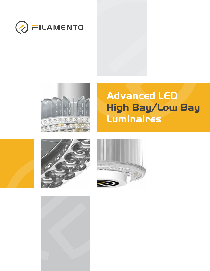









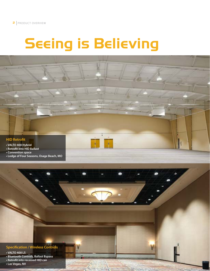# Seeing is Believing



#### **• VALTO 400 Hybrid**

- **Retrofit into HID Ballast**
- **Convention space**
- **Lodge of Four Seasons, Osage Beach, MO**

### **Specification / Wireless Controls**

- **VALTO 400 LS**
- **Bluetooth Controls, Ballast Bypass**
- **Retrofit into recessed HID can**
- **Las Vegas, NV**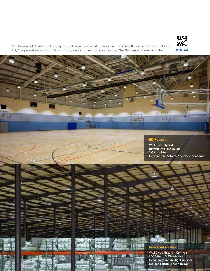

See for yourself. Filamento lighting products have been used in a wide variety of installations worldwide including US, Europe and Asia — for HID retrofit and new construction specification. The Filamento difference is clear!

36



- **VALTO 400 Hybrid**
- **Retrofit into HID Ballast**
- **2-3X brighter**
- **International School, Aberdeen, Scotland**



**• VALTO 600 Fixture + Controls • 200,000 sq. ft. Warehouse • Occupancy and daylight sensors • Morgan Fabrics, Shannon, MS**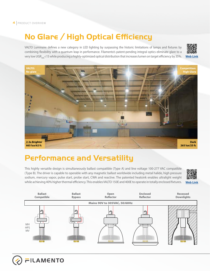## No Glare / High Optical Efficiency

VALTO Luminaire defines a new category in LED lighting by surpassing the historic limitations of lamps and fixtures by combining flexibility with a quantum leap in performance. Filamento's patent-pending integral optics eliminate glare to a very low UGR<sub>AVE</sub><15 while producing a highly-optimized optical distribution that increases lumen on target efficiency by 35%.





### Performance and Versatility

This highly versatile design is simultaneously ballast compatible (Type A) and line voltage 100-277 VAC compatible (Type B). The driver is capable to operable with any magnetic ballast worldwide including metal halide, high pressure sodium, mercury vapor, pulse start, probe start, CWA and reactive. The patented heatsink enables ultralight weight while achieving 40% higher thermal efficiency. This enables VALTO 150E and 400E to operate in totally enclosed fixtures.





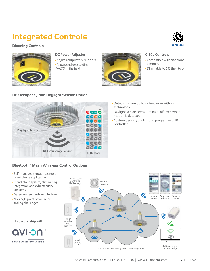### Integrated Controls







#### **DC Power Adjuster**

- Adjusts output to 50% or 70%
- Allows end user to dim VALTO in the field



#### **0-10v Controls**

- Compatible with traditional dimmers
- Dimmable to 5% then to off

#### RF Occupancy and Daylight Sensor Option



- Detects motion up to 49 feet away with RF technology
- Daylight sensor keeps luminaire off even when motion is detected
- Custom design your lighting program with IR controller

#### Bluetooth® Mesh Wireless Control Options

- Self-managed through a simple smartphone application
- Stand-alone system, eliminating integration and cybersecurity concerns
- Gateway-free mesh architecture
- No single point of failure or scaling challenges

#### **In partnership with**



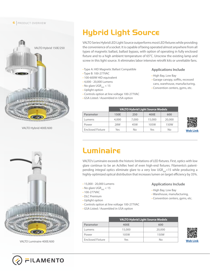#### **6** PRODUCT OVERVIEW



VALTO Hybrid 400E/600



VALTO Luminaire 400E/600

### Hybrid Light Source

VALTO Series Hybrid LED Light Source outperforms most LED fixtures while providing the convenience of a socket. It is capable of being operated almost anywhere from all types of magnetic ballast, ballast bypass, with option of operating in fully enclosed fixture and to a high ambient temperature of  $65^{\circ}$ C. Unscrew the existing lamp and screw in this light source. It eliminates labor intensive retrofit kits or unreliable fans.

- Type A: HID Magnetic Ballast Compatible
- Type B: 100-277VAC
- 100-600W HID equivalent
- 4,000 20,000 Lumens
- No glare UGR $_{\text{avf}}$  < 15
- Uplight option
- Controls option at line voltage 100-277VAC
- GSA Listed / Assembled in USA option

#### **Applications Include**

- High Bay, Low Bay
- Garage canopy, soffits, recessed cans, warehouse, manufacturing,
- Convention centers, gyms, etc.

|                         | <b>VALTO Hybrid Light Source Models</b> |       |        |        |
|-------------------------|-----------------------------------------|-------|--------|--------|
| Parameter               | 150E                                    | 250   | 400E   | 600    |
| Lumens                  | 4,000                                   | 7,000 | 15,000 | 20,000 |
| Power                   | 28W                                     | 45W   | 105W   | 150W   |
| <b>Enclosed Fixture</b> | Yes                                     | No    | Yes    | No     |



### Luminaire

VALTO's Luminaire exceeds the historic limitations of LED fixtures. First, optics with low glare continue to be an Achilles heel of even high-end fixtures. Filamento's patentpending integral optics eliminate glare to a very low UGR<sub>AVE</sub><15 while producing a highly-optimized optical distribution that increases lumen on target efficiency by 35%.

- 15,000 20,000 Lumens
- No glare UGR $_{AVE}$  < 15
- 100-277VAC
- DLC Premium
- Uplight option
- Controls option at line voltage 100-277VAC
- GSA Listed / Assembled in USA option

#### **Applications Include**

- High Bay, Low Bay
- Warehouse, manufacturing,
- Convention centers, gyms, etc.

|                         | <b>VALTO Hybrid Light Source Models</b> |        |  |
|-------------------------|-----------------------------------------|--------|--|
| Parameter               | 400E                                    | 600    |  |
| Lumens                  | 15,000                                  | 20,000 |  |
| Power                   | 105W                                    | 150W   |  |
| <b>Enclosed Fixture</b> | Yes                                     | No     |  |



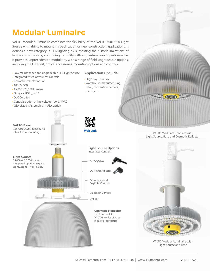### Modular Luminaire

VALTO Modular Luminaire combines the flexibility of the VALTO 400E/600 Light Source with ability to mount in specification or new construction applications. It defines a new category in LED lighting by surpassing the historic limitations of lamps and fixtures by combining flexibility with a quantum leap in performance. It provides unprecedented modularity with a range of field-upgradeable options, including the LED unit, optical accessories, mounting options and controls.

- Low maintenance and upgradeable LED Light Source
- Integrated wired or wireless controls
- Cosmetic reflector option
- 100-277VAC
- 15,000 20,000 Lumens
- No glare UGR<sub>AVE</sub>  $< 15$
- DLC Certified
- Controls option at line voltage 100-277VAC
- GSA Listed / Assembled in USA option

• High Bay, Low Bay • Warehouse, manufacturing,

**Applications Include**

retail, convention centers, gyms, etc.

> VALTO Modular Luminaire with Light Source, Base and Cosmetic Reflector

> > VALTO Modular Luminaire with Light Source and Base